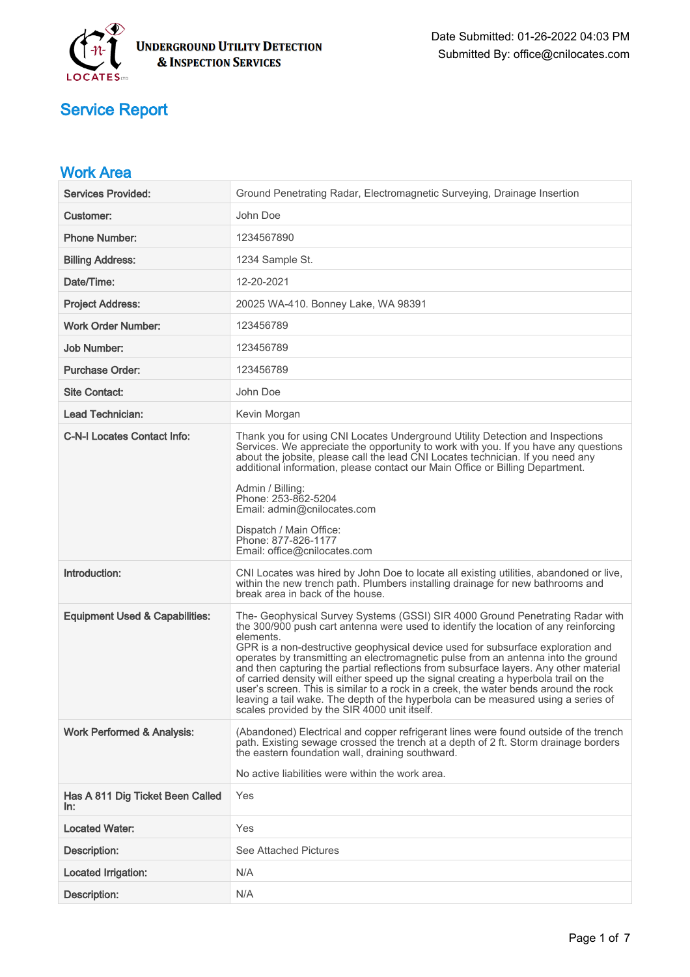

| <b>Work Area</b>                          |                                                                                                                                                                                                                                                                                                                                                                                                                                                                                                                                                                                                                                                                                                                                                                         |
|-------------------------------------------|-------------------------------------------------------------------------------------------------------------------------------------------------------------------------------------------------------------------------------------------------------------------------------------------------------------------------------------------------------------------------------------------------------------------------------------------------------------------------------------------------------------------------------------------------------------------------------------------------------------------------------------------------------------------------------------------------------------------------------------------------------------------------|
| <b>Services Provided:</b>                 | Ground Penetrating Radar, Electromagnetic Surveying, Drainage Insertion                                                                                                                                                                                                                                                                                                                                                                                                                                                                                                                                                                                                                                                                                                 |
| <b>Customer:</b>                          | John Doe                                                                                                                                                                                                                                                                                                                                                                                                                                                                                                                                                                                                                                                                                                                                                                |
| <b>Phone Number:</b>                      | 1234567890                                                                                                                                                                                                                                                                                                                                                                                                                                                                                                                                                                                                                                                                                                                                                              |
| <b>Billing Address:</b>                   | 1234 Sample St.                                                                                                                                                                                                                                                                                                                                                                                                                                                                                                                                                                                                                                                                                                                                                         |
| Date/Time:                                | 12-20-2021                                                                                                                                                                                                                                                                                                                                                                                                                                                                                                                                                                                                                                                                                                                                                              |
| <b>Project Address:</b>                   | 20025 WA-410. Bonney Lake, WA 98391                                                                                                                                                                                                                                                                                                                                                                                                                                                                                                                                                                                                                                                                                                                                     |
| <b>Work Order Number:</b>                 | 123456789                                                                                                                                                                                                                                                                                                                                                                                                                                                                                                                                                                                                                                                                                                                                                               |
| <b>Job Number:</b>                        | 123456789                                                                                                                                                                                                                                                                                                                                                                                                                                                                                                                                                                                                                                                                                                                                                               |
| <b>Purchase Order:</b>                    | 123456789                                                                                                                                                                                                                                                                                                                                                                                                                                                                                                                                                                                                                                                                                                                                                               |
| <b>Site Contact:</b>                      | John Doe                                                                                                                                                                                                                                                                                                                                                                                                                                                                                                                                                                                                                                                                                                                                                                |
| <b>Lead Technician:</b>                   | Kevin Morgan                                                                                                                                                                                                                                                                                                                                                                                                                                                                                                                                                                                                                                                                                                                                                            |
| <b>C-N-I Locates Contact Info:</b>        | Thank you for using CNI Locates Underground Utility Detection and Inspections<br>Services. We appreciate the opportunity to work with you. If you have any questions<br>about the jobsite, please call the lead CNI Locates technician. If you need any<br>additional information, please contact our Main Office or Billing Department.<br>Admin / Billing:<br>Phone: 253-862-5204<br>Email: admin@cnilocates.com<br>Dispatch / Main Office:<br>Phone: 877-826-1177<br>Email: office@cnilocates.com                                                                                                                                                                                                                                                                    |
| Introduction:                             | CNI Locates was hired by John Doe to locate all existing utilities, abandoned or live,<br>within the new trench path. Plumbers installing drainage for new bathrooms and<br>break area in back of the house.                                                                                                                                                                                                                                                                                                                                                                                                                                                                                                                                                            |
| <b>Equipment Used &amp; Capabilities:</b> | The- Geophysical Survey Systems (GSSI) SIR 4000 Ground Penetrating Radar with<br>the 300/900 push cart antenna were used to identify the location of any reinforcing<br>elements.<br>GPR is a non-destructive geophysical device used for subsurface exploration and<br>operates by transmitting an electromagnetic pulse from an antenna into the ground<br>and then capturing the partial reflections from subsurface layers. Any other material<br>of carried density will either speed up the signal creating a hyperbola trail on the<br>user's screen. This is similar to a rock in a creek, the water bends around the rock<br>leaving a tail wake. The depth of the hyperbola can be measured using a series of<br>scales provided by the SIR 4000 unit itself. |
| <b>Work Performed &amp; Analysis:</b>     | (Abandoned) Electrical and copper refrigerant lines were found outside of the trench<br>path. Existing sewage crossed the trench at a depth of 2 ft. Storm drainage borders<br>the eastern foundation wall, draining southward.<br>No active liabilities were within the work area.                                                                                                                                                                                                                                                                                                                                                                                                                                                                                     |
| Has A 811 Dig Ticket Been Called<br>In:   | Yes                                                                                                                                                                                                                                                                                                                                                                                                                                                                                                                                                                                                                                                                                                                                                                     |
| <b>Located Water:</b>                     | Yes                                                                                                                                                                                                                                                                                                                                                                                                                                                                                                                                                                                                                                                                                                                                                                     |
| Description:                              | See Attached Pictures                                                                                                                                                                                                                                                                                                                                                                                                                                                                                                                                                                                                                                                                                                                                                   |
| Located Irrigation:                       | N/A                                                                                                                                                                                                                                                                                                                                                                                                                                                                                                                                                                                                                                                                                                                                                                     |
| Description:                              | N/A                                                                                                                                                                                                                                                                                                                                                                                                                                                                                                                                                                                                                                                                                                                                                                     |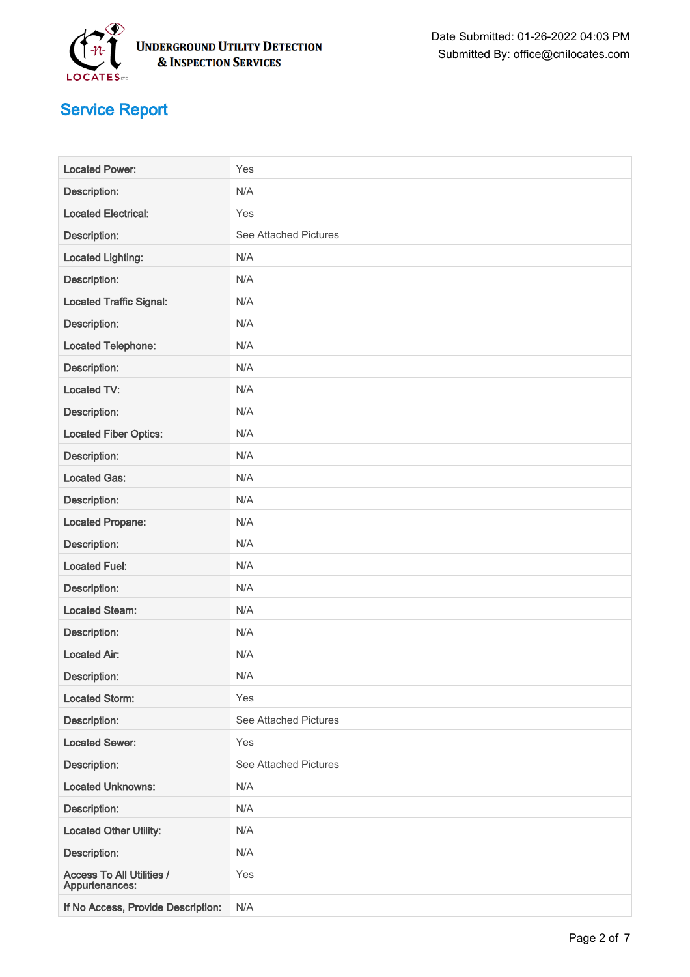

| <b>Located Power:</b>                              | Yes                          |
|----------------------------------------------------|------------------------------|
| Description:                                       | N/A                          |
| <b>Located Electrical:</b>                         | Yes                          |
| Description:                                       | <b>See Attached Pictures</b> |
| <b>Located Lighting:</b>                           | N/A                          |
| Description:                                       | N/A                          |
| <b>Located Traffic Signal:</b>                     | N/A                          |
| Description:                                       | N/A                          |
| <b>Located Telephone:</b>                          | N/A                          |
| Description:                                       | N/A                          |
| Located TV:                                        | N/A                          |
| Description:                                       | N/A                          |
| <b>Located Fiber Optics:</b>                       | N/A                          |
| Description:                                       | N/A                          |
| <b>Located Gas:</b>                                | N/A                          |
| Description:                                       | N/A                          |
| <b>Located Propane:</b>                            | N/A                          |
| Description:                                       | N/A                          |
| <b>Located Fuel:</b>                               | N/A                          |
| Description:                                       | N/A                          |
| <b>Located Steam:</b>                              | N/A                          |
| Description:                                       | N/A                          |
| <b>Located Air:</b>                                | N/A                          |
| Description:                                       | N/A                          |
| <b>Located Storm:</b>                              | Yes                          |
| Description:                                       | See Attached Pictures        |
| <b>Located Sewer:</b>                              | Yes                          |
| Description:                                       | <b>See Attached Pictures</b> |
| <b>Located Unknowns:</b>                           | N/A                          |
| Description:                                       | N/A                          |
| <b>Located Other Utility:</b>                      | N/A                          |
| Description:                                       | N/A                          |
| <b>Access To All Utilities /</b><br>Appurtenances: | Yes                          |
| If No Access, Provide Description:                 | N/A                          |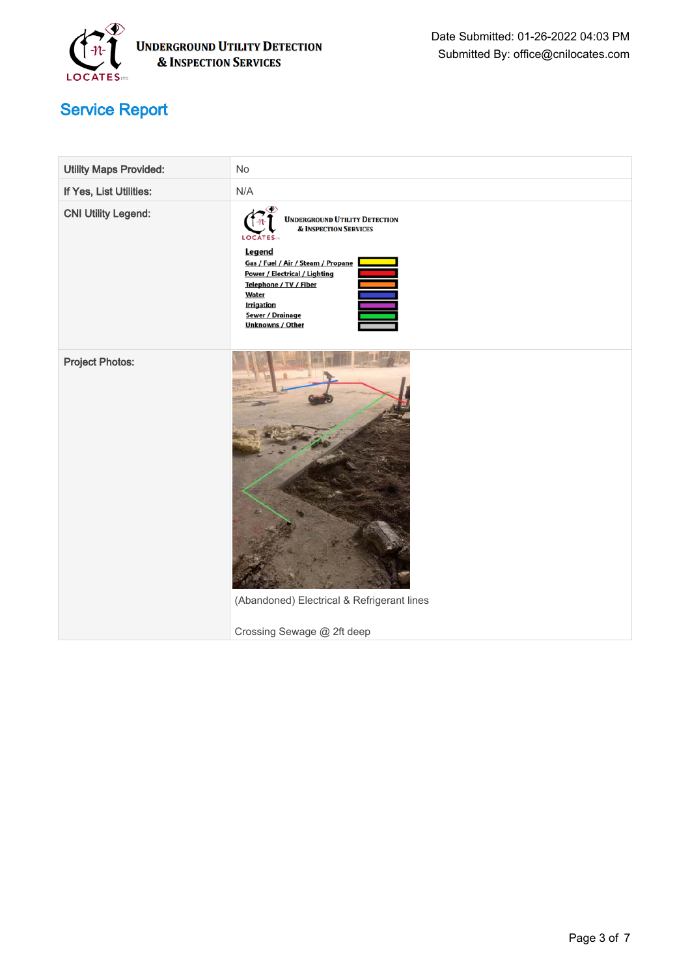

| <b>Utility Maps Provided:</b> | No                                                                                                                                                                                                                                                                                        |
|-------------------------------|-------------------------------------------------------------------------------------------------------------------------------------------------------------------------------------------------------------------------------------------------------------------------------------------|
| If Yes, List Utilities:       | N/A                                                                                                                                                                                                                                                                                       |
| <b>CNI Utility Legend:</b>    | <b>UNDERGROUND UTILITY DETECTION</b><br><b>&amp; INSPECTION SERVICES</b><br><b>LOCATES</b><br>Legend<br>Gas / Fuel / Air / Steam / Propane<br>Power / Electrical / Lighting<br>Telephone / TV / Fiber<br>Water<br><b>Irrigation</b><br><b>Sewer / Drainage</b><br><b>Unknowns / Other</b> |
| <b>Project Photos:</b>        | (Abandoned) Electrical & Refrigerant lines<br>Crossing Sewage @ 2ft deep                                                                                                                                                                                                                  |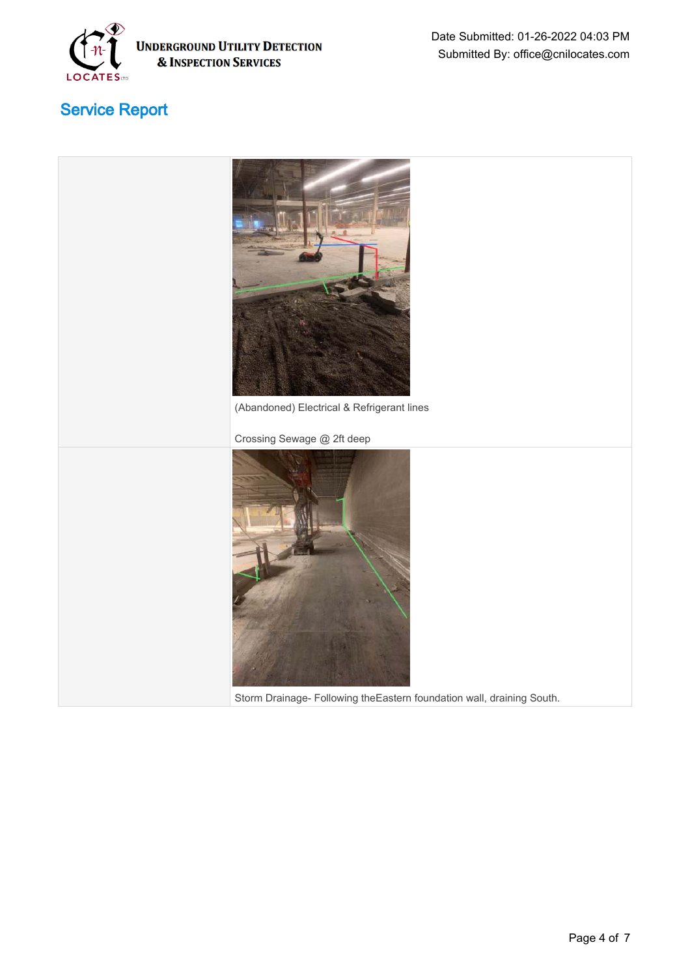

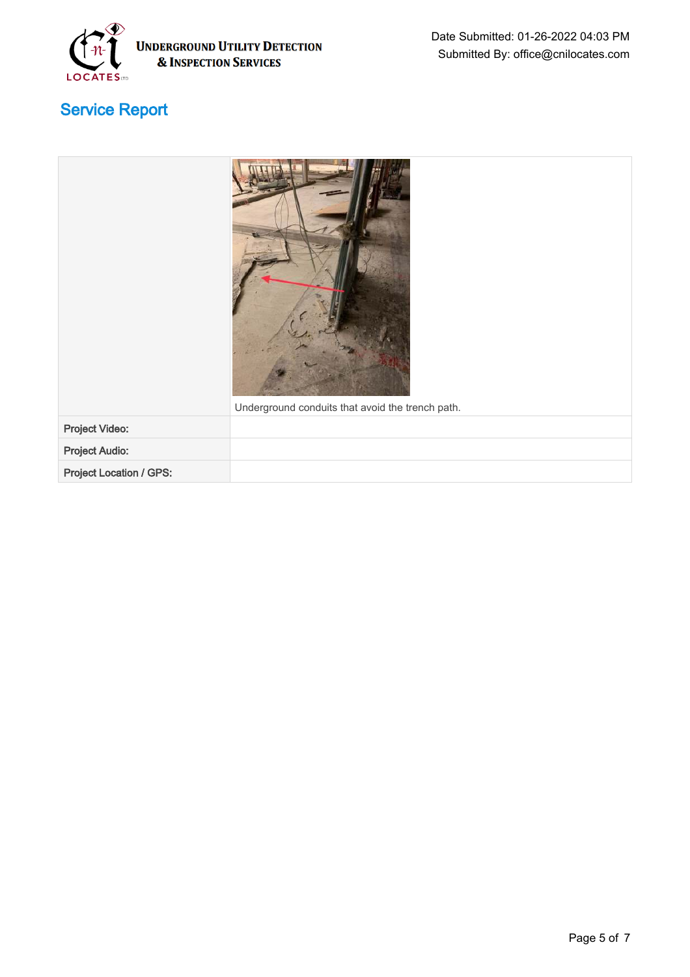

|                         | Underground conduits that avoid the trench path. |
|-------------------------|--------------------------------------------------|
| Project Video:          |                                                  |
| <b>Project Audio:</b>   |                                                  |
| Project Location / GPS: |                                                  |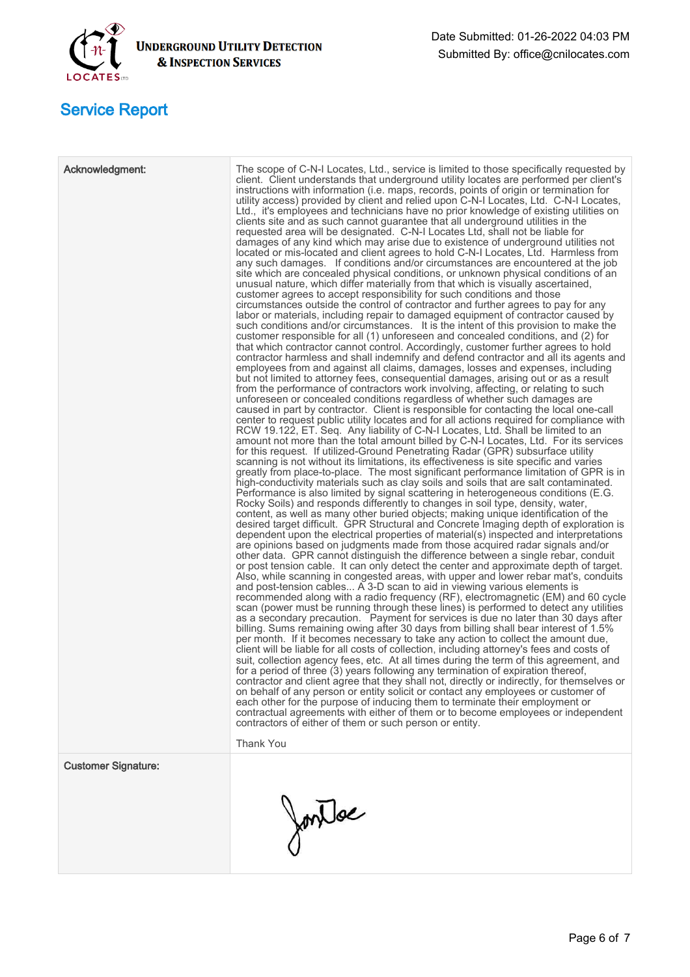

| Acknowledgment:            | The scope of C-N-I Locates, Ltd., service is limited to those specifically requested by<br>client. Client understands that underground utility locates are performed per client's<br>instructions with information (i.e. maps, records, points of origin or termination for<br>utility access) provided by client and relied upon C-N-I Locates, Ltd. C-N-I Locates,<br>Ltd., it's employees and technicians have no prior knowledge of existing utilities on<br>clients site and as such cannot guarantee that all underground utilities in the<br>requested area will be designated. C-N-I Locates Ltd, shall not be liable for<br>damages of any kind which may arise due to existence of underground utilities not<br>located or mis-located and client agrees to hold C-N-I Locates, Ltd. Harmless from<br>any such damages. If conditions and/or circumstances are encountered at the job<br>site which are concealed physical conditions, or unknown physical conditions of an<br>unusual nature, which differ materially from that which is visually ascertained,<br>customer agrees to accept responsibility for such conditions and those<br>circumstances outside the control of contractor and further agrees to pay for any<br>labor or materials, including repair to damaged equipment of contractor caused by<br>such conditions and/or circumstances. It is the intent of this provision to make the<br>customer responsible for all (1) unforeseen and concealed conditions, and (2) for<br>that which contractor cannot control. Accordingly, customer further agrees to hold<br>contractor harmless and shall indemnify and defend contractor and all its agents and<br>employees from and against all claims, damages, losses and expenses, including<br>but not limited to attorney fees, consequential damages, arising out or as a result<br>from the performance of contractors work involving, affecting, or relating to such<br>unforeseen or concealed conditions regardless of whether such damages are<br>caused in part by contractor. Client is responsible for contacting the local one-call<br>center to request public utility locates and for all actions required for compliance with<br>RCW 19.122, ET. Seq. Any liability of C-N-I Locates, Ltd. Shall be limited to an<br>amount not more than the total amount billed by C-N-I Locates, Ltd. For its services<br>for this request. If utilized-Ground Penetrating Radar (GPR) subsurface utility<br>scanning is not without its limitations, its effectiveness is site specific and varies<br>greatly from place-to-place. The most significant performance limitation of GPR is in<br>high-conductivity materials such as clay soils and soils that are salt contaminated.<br>Performance is also limited by signal scattering in heterogeneous conditions (E.G.<br>Rocky Soils) and responds differently to changes in soil type, density, water,<br>content, as well as many other buried objects; making unique identification of the<br>desired target difficult. GPR Structural and Concrete Imaging depth of exploration is<br>dependent upon the electrical properties of material(s) inspected and interpretations<br>are opinions based on judgments made from those acquired radar signals and/or<br>other data. GPR cannot distinguish the difference between a single rebar, conduit<br>or post tension cable. It can only detect the center and approximate depth of target.<br>Also, while scanning in congested areas, with upper and lower rebar mat's, conduits<br>and post-tension cables A 3-D scan to aid in viewing various elements is<br>recommended along with a radio frequency (RF), electromagnetic (EM) and 60 cycle<br>scan (power must be running through these lines) is performed to detect any utilities<br>as a secondary precaution. Payment for services is due no later than 30 days after<br>billing. Sums remaining owing after 30 days from billing shall bear interest of 1.5%<br>per month. If it becomes necessary to take any action to collect the amount due,<br>client will be liable for all costs of collection, including attorney's fees and costs of<br>suit, collection agency fees, etc. At all times during the term of this agreement, and<br>for a period of three (3) years following any termination of expiration thereof,<br>contractor and client agree that they shall not, directly or indirectly, for themselves or<br>on behalf of any person or entity solicit or contact any employees or customer of<br>each other for the purpose of inducing them to terminate their employment or<br>contractual agreements with either of them or to become employees or independent<br>contractors of either of them or such person or entity.<br><b>Thank You</b> |
|----------------------------|------------------------------------------------------------------------------------------------------------------------------------------------------------------------------------------------------------------------------------------------------------------------------------------------------------------------------------------------------------------------------------------------------------------------------------------------------------------------------------------------------------------------------------------------------------------------------------------------------------------------------------------------------------------------------------------------------------------------------------------------------------------------------------------------------------------------------------------------------------------------------------------------------------------------------------------------------------------------------------------------------------------------------------------------------------------------------------------------------------------------------------------------------------------------------------------------------------------------------------------------------------------------------------------------------------------------------------------------------------------------------------------------------------------------------------------------------------------------------------------------------------------------------------------------------------------------------------------------------------------------------------------------------------------------------------------------------------------------------------------------------------------------------------------------------------------------------------------------------------------------------------------------------------------------------------------------------------------------------------------------------------------------------------------------------------------------------------------------------------------------------------------------------------------------------------------------------------------------------------------------------------------------------------------------------------------------------------------------------------------------------------------------------------------------------------------------------------------------------------------------------------------------------------------------------------------------------------------------------------------------------------------------------------------------------------------------------------------------------------------------------------------------------------------------------------------------------------------------------------------------------------------------------------------------------------------------------------------------------------------------------------------------------------------------------------------------------------------------------------------------------------------------------------------------------------------------------------------------------------------------------------------------------------------------------------------------------------------------------------------------------------------------------------------------------------------------------------------------------------------------------------------------------------------------------------------------------------------------------------------------------------------------------------------------------------------------------------------------------------------------------------------------------------------------------------------------------------------------------------------------------------------------------------------------------------------------------------------------------------------------------------------------------------------------------------------------------------------------------------------------------------------------------------------------------------------------------------------------------------------------------------------------------------------------------------------------------------------------------------------------------------------------------------------------------------------------------------------------------------------------------------------------------------------------------------------------------------------------------------------------------------------------------------------------------------------------------------------------------------------------------------------------------------------------------------------------|
| <b>Customer Signature:</b> | JonTac                                                                                                                                                                                                                                                                                                                                                                                                                                                                                                                                                                                                                                                                                                                                                                                                                                                                                                                                                                                                                                                                                                                                                                                                                                                                                                                                                                                                                                                                                                                                                                                                                                                                                                                                                                                                                                                                                                                                                                                                                                                                                                                                                                                                                                                                                                                                                                                                                                                                                                                                                                                                                                                                                                                                                                                                                                                                                                                                                                                                                                                                                                                                                                                                                                                                                                                                                                                                                                                                                                                                                                                                                                                                                                                                                                                                                                                                                                                                                                                                                                                                                                                                                                                                                                                                                                                                                                                                                                                                                                                                                                                                                                                                                                                                                                                                                 |